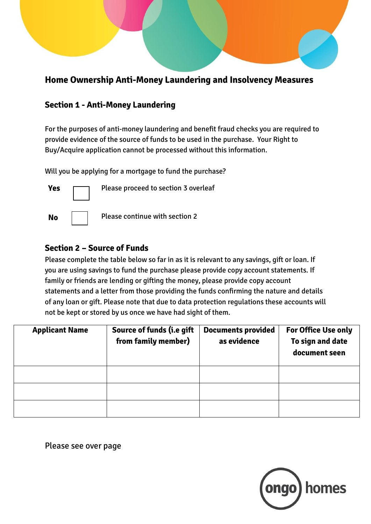# **Home Ownership Anti-Money Laundering and Insolvency Measures**

# **Section 1 - Anti-Money Laundering**

For the purposes of anti-money laundering and benefit fraud checks you are required to provide evidence of the source of funds to be used in the purchase. Your Right to Buy/Acquire application cannot be processed without this information.

Will you be applying for a mortgage to fund the purchase?



# **Section 2 – Source of Funds**

Please complete the table below so far in as it is relevant to any savings, gift or loan. If you are using savings to fund the purchase please provide copy account statements. If family or friends are lending or gifting the money, please provide copy account statements and a letter from those providing the funds confirming the nature and details of any loan or gift. Please note that due to data protection regulations these accounts will not be kept or stored by us once we have had sight of them.

| <b>Applicant Name</b> | Source of funds (i.e gift<br>from family member) | <b>Documents provided</b><br>as evidence | <b>For Office Use only</b><br>To sign and date<br>document seen |
|-----------------------|--------------------------------------------------|------------------------------------------|-----------------------------------------------------------------|
|                       |                                                  |                                          |                                                                 |
|                       |                                                  |                                          |                                                                 |
|                       |                                                  |                                          |                                                                 |

Please see over page

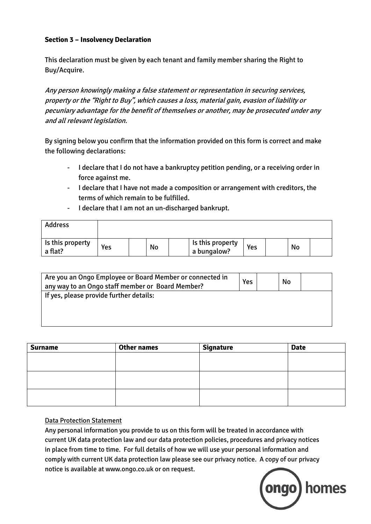#### **Section 3 – Insolvency Declaration**

This declaration must be given by each tenant and family member sharing the Right to Buy/Acquire.

Any person knowingly making a false statement or representation in securing services, property or the "Right to Buy", which causes a loss, material gain, evasion of liability or pecuniary advantage for the benefit of themselves or another, may be prosecuted under any and all relevant legislation.

By signing below you confirm that the information provided on this form is correct and make the following declarations:

- I declare that I do not have a bankruptcy petition pending, or a receiving order in force against me.
- I declare that I have not made a composition or arrangement with creditors, the terms of which remain to be fulfilled.
- I declare that I am not an un-discharged bankrupt.

| <b>Address</b>              |     |    |                                 |     |    |  |
|-----------------------------|-----|----|---------------------------------|-----|----|--|
| Is this property<br>a flat? | Yes | No | Is this property<br>a bungalow? | Yes | No |  |

| No |  |
|----|--|
|    |  |
|    |  |
|    |  |

| <b>Surname</b> | <b>Other names</b> | <b>Signature</b> | <b>Date</b> |
|----------------|--------------------|------------------|-------------|
|                |                    |                  |             |
|                |                    |                  |             |
|                |                    |                  |             |
|                |                    |                  |             |
|                |                    |                  |             |
|                |                    |                  |             |

#### Data Protection Statement

Any personal information you provide to us on this form will be treated in accordance with current UK data protection law and our data protection policies, procedures and privacy notices in place from time to time. For full details of how we will use your personal information and comply with current UK data protection law please see our privacy notice. A copy of our privacy notice is available at www.ongo.co.uk or on request.

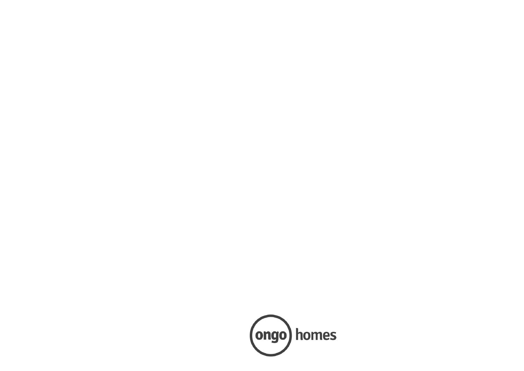